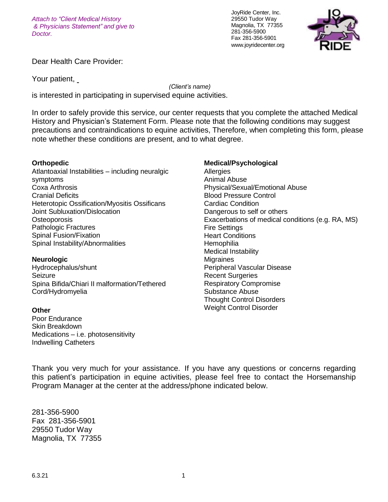*Attach to "Client Medical History & Physicians Statement" and give to Doctor.*

JoyRide Center, Inc. 29550 Tudor Way Magnolia, TX 77355 281-356-5900 Fax 281-356-5901 [www.joyridecenter.org](http://www.joyridecenter.org/)



Dear Health Care Provider:

Your patient,

*(Client's name)*

is interested in participating in supervised equine activities.

In order to safely provide this service, our center requests that you complete the attached Medical History and Physician's Statement Form. Please note that the following conditions may suggest precautions and contraindications to equine activities, Therefore, when completing this form, please note whether these conditions are present, and to what degree.

### **Orthopedic**

Atlantoaxial Instabilities – including neuralgic symptoms Coxa Arthrosis Cranial Deficits Heterotopic Ossification/Myositis Ossificans Joint Subluxation/Dislocation **Osteoporosis** Pathologic Fractures Spinal Fusion/Fixation Spinal Instability/Abnormalities

#### **Neurologic**

Hydrocephalus/shunt Seizure Spina Bifida/Chiari II malformation/Tethered Cord/Hydromyelia

### **Other**

Poor Endurance Skin Breakdown Medications – i.e. photosensitivity Indwelling Catheters

**Medical/Psychological Allergies** Animal Abuse Physical/Sexual/Emotional Abuse Blood Pressure Control Cardiac Condition Dangerous to self or others Exacerbations of medical conditions (e.g. RA, MS) Fire Settings Heart Conditions **Hemophilia** Medical Instability **Migraines** Peripheral Vascular Disease Recent Surgeries Respiratory Compromise Substance Abuse Thought Control Disorders Weight Control Disorder

Thank you very much for your assistance. If you have any questions or concerns regarding this patient's participation in equine activities, please feel free to contact the Horsemanship Program Manager at the center at the address/phone indicated below.

281-356-5900 Fax 281-356-5901 29550 Tudor Way Magnolia, TX 77355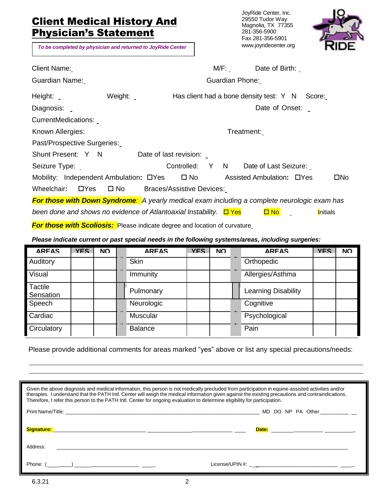# **Client Medical History And** Physician's Statement

*To be completed by physician and returned to JoyRide Center*

JoyRide Center, Inc. 29550 Tudor Way Magnolia, TX 77355 281-356-5900 Fax 281-356-5901 [www.joyridecenter.org](http://www.joyridecenter.org/)



| <b>Client Name:</b>                                                                                 |              |                                  |  | M/F:            | Date of Birth:                                 |  |                  |
|-----------------------------------------------------------------------------------------------------|--------------|----------------------------------|--|-----------------|------------------------------------------------|--|------------------|
| Guardian Name:                                                                                      |              |                                  |  | Guardian Phone: |                                                |  |                  |
| Height:                                                                                             | Weight:      |                                  |  |                 | Has client had a bone density test: Y N Score: |  |                  |
| Diagnosis:                                                                                          |              |                                  |  |                 | Date of Onset:                                 |  |                  |
| CurrentMedications:                                                                                 |              |                                  |  |                 |                                                |  |                  |
| Known Allergies:                                                                                    |              |                                  |  | Treatment:      |                                                |  |                  |
| Past/Prospective Surgeries:                                                                         |              |                                  |  |                 |                                                |  |                  |
| Shunt Present: Y N                                                                                  |              | Date of last revision:           |  |                 |                                                |  |                  |
| Seizure Type: _                                                                                     |              | Controlled: Y N                  |  |                 | Date of Last Seizure:                          |  |                  |
| Mobility: Independent Ambulation: DYes                                                              |              | $\square$ No                     |  |                 | Assisted Ambulation: DYes                      |  | □No              |
| Wheelchair:<br>$\Box$ Yes                                                                           | $\square$ No | <b>Braces/Assistive Devices:</b> |  |                 |                                                |  |                  |
| <b>For those with Down Syndrome:</b> A yearly medical exam including a complete neurologic exam has |              |                                  |  |                 |                                                |  |                  |
| been done and shows no evidence of Atlantoaxial Instability. $\Box$ Yes                             |              |                                  |  |                 | $\Box$ No                                      |  | <b>I</b> nitials |
| <b>For those with Scoliosis:</b> Please indicate degree and location of curvature                   |              |                                  |  |                 |                                                |  |                  |

*Please indicate current or past special needs in the following systems/areas, including surgeries:*

| <b>ARFAS</b>         | <b>YFS</b> | <b>NO</b> | <b>ARFAS</b>   | <b>YFS</b> | <b>NO</b> | <b>ARFAS</b>        | <b>YFS</b> | <b>NO</b> |
|----------------------|------------|-----------|----------------|------------|-----------|---------------------|------------|-----------|
| Auditory             |            |           | <b>Skin</b>    |            |           | Orthopedic          |            |           |
| Visual               |            |           | Immunity       |            |           | Allergies/Asthma    |            |           |
| Tactile<br>Sensation |            |           | Pulmonary      |            |           | Learning Disability |            |           |
| Speech               |            |           | Neurologic     |            |           | Cognitive           |            |           |
| Cardiac              |            |           | Muscular       |            |           | Psychological       |            |           |
| Circulatory          |            |           | <b>Balance</b> |            |           | Pain                |            |           |

Please provide additional comments for areas marked "yes" above or list any special precautions/needs:

| Given the above diagnosis and medical information, this person is not medically precluded from participation in equine-assisted activities and/or<br>therapies. I understand that the PATH Intl. Center will weigh the medical information given against the existing precautions and contraindications.<br>Therefore, I refer this person to the PATH Intl. Center for ongoing evaluation to determine eligibility for participation. |  |  |  |  |  |  |
|----------------------------------------------------------------------------------------------------------------------------------------------------------------------------------------------------------------------------------------------------------------------------------------------------------------------------------------------------------------------------------------------------------------------------------------|--|--|--|--|--|--|
|                                                                                                                                                                                                                                                                                                                                                                                                                                        |  |  |  |  |  |  |
|                                                                                                                                                                                                                                                                                                                                                                                                                                        |  |  |  |  |  |  |
| Address:                                                                                                                                                                                                                                                                                                                                                                                                                               |  |  |  |  |  |  |
| Phone: $(\_\_\_\_\_)\_\_\_\_\_\_\_$                                                                                                                                                                                                                                                                                                                                                                                                    |  |  |  |  |  |  |